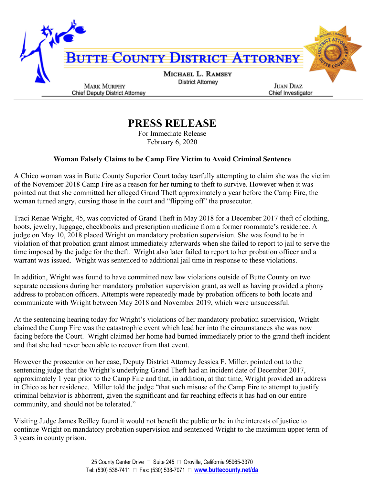

## **PRESS RELEASE**

For Immediate Release February 6, 2020

## **Woman Falsely Claims to be Camp Fire Victim to Avoid Criminal Sentence**

A Chico woman was in Butte County Superior Court today tearfully attempting to claim she was the victim of the November 2018 Camp Fire as a reason for her turning to theft to survive. However when it was pointed out that she committed her alleged Grand Theft approximately a year before the Camp Fire, the woman turned angry, cursing those in the court and "flipping off" the prosecutor.

Traci Renae Wright, 45, was convicted of Grand Theft in May 2018 for a December 2017 theft of clothing, boots, jewelry, luggage, checkbooks and prescription medicine from a former roommate's residence. A judge on May 10, 2018 placed Wright on mandatory probation supervision. She was found to be in violation of that probation grant almost immediately afterwards when she failed to report to jail to serve the time imposed by the judge for the theft. Wright also later failed to report to her probation officer and a warrant was issued. Wright was sentenced to additional jail time in response to these violations.

In addition, Wright was found to have committed new law violations outside of Butte County on two separate occasions during her mandatory probation supervision grant, as well as having provided a phony address to probation officers. Attempts were repeatedly made by probation officers to both locate and communicate with Wright between May 2018 and November 2019, which were unsuccessful.

At the sentencing hearing today for Wright's violations of her mandatory probation supervision, Wright claimed the Camp Fire was the catastrophic event which lead her into the circumstances she was now facing before the Court. Wright claimed her home had burned immediately prior to the grand theft incident and that she had never been able to recover from that event.

However the prosecutor on her case, Deputy District Attorney Jessica F. Miller. pointed out to the sentencing judge that the Wright's underlying Grand Theft had an incident date of December 2017, approximately 1 year prior to the Camp Fire and that, in addition, at that time, Wright provided an address in Chico as her residence. Miller told the judge "that such misuse of the Camp Fire to attempt to justify criminal behavior is abhorrent, given the significant and far reaching effects it has had on our entire community, and should not be tolerated."

Visiting Judge James Reilley found it would not benefit the public or be in the interests of justice to continue Wright on mandatory probation supervision and sentenced Wright to the maximum upper term of 3 years in county prison.